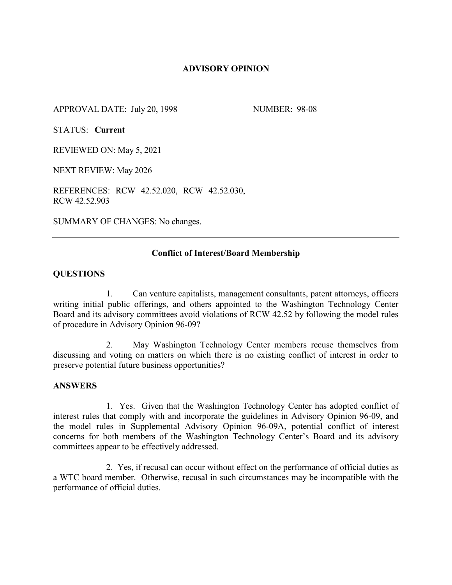### **ADVISORY OPINION**

APPROVAL DATE: July 20, 1998 NUMBER: 98-08

STATUS: **Current**

REVIEWED ON: May 5, 2021

NEXT REVIEW: May 2026

REFERENCES: RCW 42.52.020, RCW 42.52.030, RCW 42.52.903

SUMMARY OF CHANGES: No changes.

### **Conflict of Interest/Board Membership**

#### **QUESTIONS**

1. Can venture capitalists, management consultants, patent attorneys, officers writing initial public offerings, and others appointed to the Washington Technology Center Board and its advisory committees avoid violations of RCW 42.52 by following the model rules of procedure in Advisory Opinion 96-09?

2. May Washington Technology Center members recuse themselves from discussing and voting on matters on which there is no existing conflict of interest in order to preserve potential future business opportunities?

### **ANSWERS**

1. Yes. Given that the Washington Technology Center has adopted conflict of interest rules that comply with and incorporate the guidelines in Advisory Opinion 96-09, and the model rules in Supplemental Advisory Opinion 96-09A, potential conflict of interest concerns for both members of the Washington Technology Center's Board and its advisory committees appear to be effectively addressed.

2. Yes, if recusal can occur without effect on the performance of official duties as a WTC board member. Otherwise, recusal in such circumstances may be incompatible with the performance of official duties.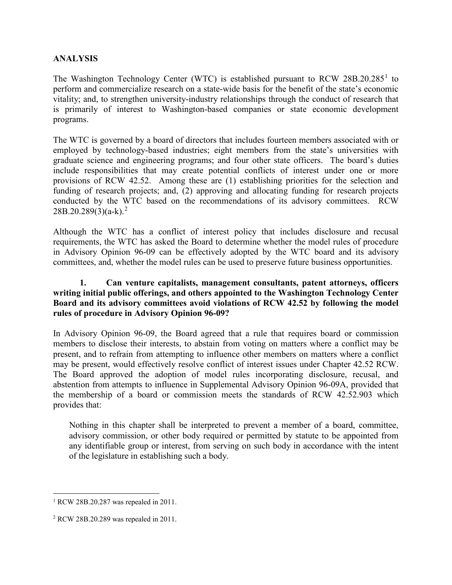# **ANALYSIS**

The Washington Technology Center (WTC) is established pursuant to RCW  $28B.20.285<sup>1</sup>$  $28B.20.285<sup>1</sup>$  $28B.20.285<sup>1</sup>$  to perform and commercialize research on a state-wide basis for the benefit of the state's economic vitality; and, to strengthen university-industry relationships through the conduct of research that is primarily of interest to Washington-based companies or state economic development programs.

The WTC is governed by a board of directors that includes fourteen members associated with or employed by technology-based industries; eight members from the state's universities with graduate science and engineering programs; and four other state officers. The board's duties include responsibilities that may create potential conflicts of interest under one or more provisions of RCW 42.52. Among these are (1) establishing priorities for the selection and funding of research projects; and, (2) approving and allocating funding for research projects conducted by the WTC based on the recommendations of its advisory committees. RCW 28B.20.289(3)(a-k). [2](#page-1-1)

Although the WTC has a conflict of interest policy that includes disclosure and recusal requirements, the WTC has asked the Board to determine whether the model rules of procedure in Advisory Opinion 96-09 can be effectively adopted by the WTC board and its advisory committees, and, whether the model rules can be used to preserve future business opportunities.

## **1. Can venture capitalists, management consultants, patent attorneys, officers writing initial public offerings, and others appointed to the Washington Technology Center Board and its advisory committees avoid violations of RCW 42.52 by following the model rules of procedure in Advisory Opinion 96-09?**

In Advisory Opinion 96-09, the Board agreed that a rule that requires board or commission members to disclose their interests, to abstain from voting on matters where a conflict may be present, and to refrain from attempting to influence other members on matters where a conflict may be present, would effectively resolve conflict of interest issues under Chapter 42.52 RCW. The Board approved the adoption of model rules incorporating disclosure, recusal, and abstention from attempts to influence in Supplemental Advisory Opinion 96-09A, provided that the membership of a board or commission meets the standards of RCW 42.52.903 which provides that:

Nothing in this chapter shall be interpreted to prevent a member of a board, committee, advisory commission, or other body required or permitted by statute to be appointed from any identifiable group or interest, from serving on such body in accordance with the intent of the legislature in establishing such a body.

<span id="page-1-0"></span> <sup>1</sup> RCW 28B.20.287 was repealed in 2011.

<span id="page-1-1"></span><sup>2</sup> RCW 28B.20.289 was repealed in 2011.